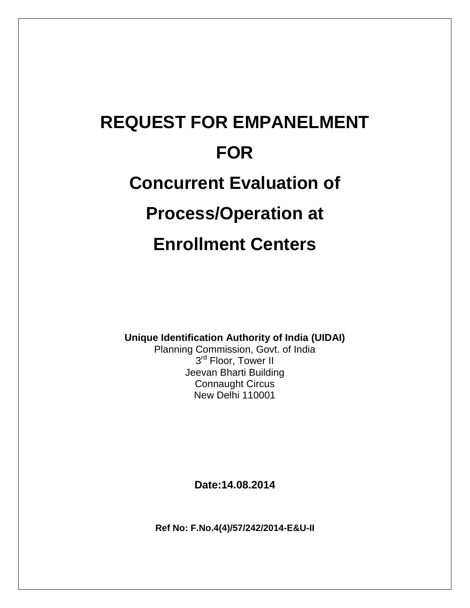# **REQUEST FOR EMPANELMENT FOR Concurrent Evaluation of Process/Operation at Enrollment Centers**

**Unique Identification Authority of India (UIDAI)**

Planning Commission, Govt. of India 3<sup>rd</sup> Floor, Tower II Jeevan Bharti Building Connaught Circus New Delhi 110001

**Date:14.08.2014**

**Ref No: F.No.4(4)/57/242/2014-E&U-II**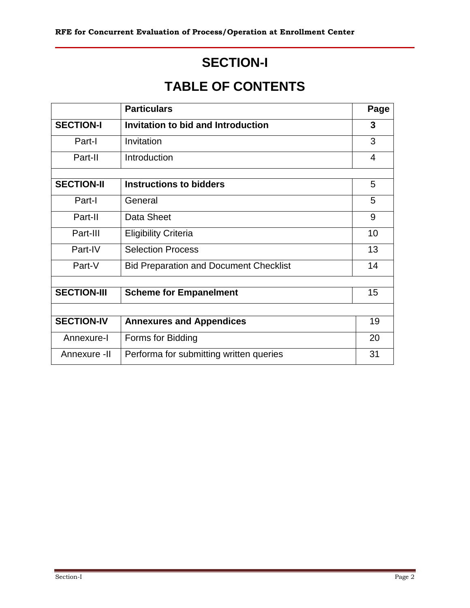# **SECTION-I**

# **TABLE OF CONTENTS**

|                    | <b>Particulars</b>                            | Page |
|--------------------|-----------------------------------------------|------|
| <b>SECTION-I</b>   | Invitation to bid and Introduction            | 3    |
| Part-I             | Invitation                                    | 3    |
| Part-II            | Introduction                                  | 4    |
|                    |                                               |      |
| <b>SECTION-II</b>  | <b>Instructions to bidders</b>                | 5    |
| Part-I             | General                                       | 5    |
| Part-II            | Data Sheet                                    | 9    |
| Part-III           | <b>Eligibility Criteria</b>                   | 10   |
| Part-IV            | <b>Selection Process</b>                      | 13   |
| Part-V             | <b>Bid Preparation and Document Checklist</b> | 14   |
|                    |                                               |      |
| <b>SECTION-III</b> | <b>Scheme for Empanelment</b>                 | 15   |
|                    |                                               |      |
| <b>SECTION-IV</b>  | <b>Annexures and Appendices</b>               | 19   |
| Annexure-I         | Forms for Bidding                             | 20   |
| Annexure -II       | Performa for submitting written queries       | 31   |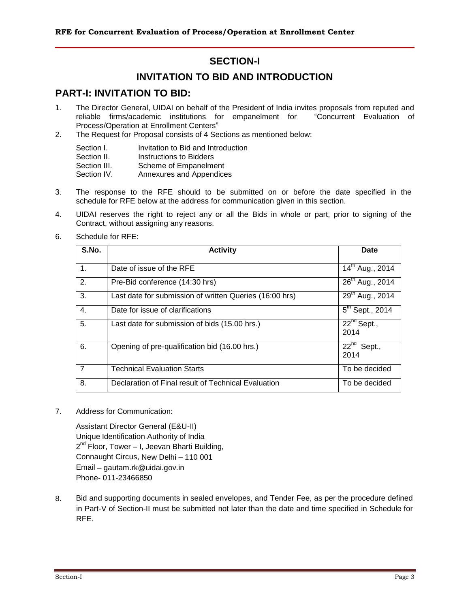## **SECTION-I**

# **INVITATION TO BID AND INTRODUCTION**

### **PART-I: INVITATION TO BID:**

- 1. The Director General, UIDAI on behalf of the President of India invites proposals from reputed and reliable firms/academic institutions for empanelment for "Concurrent Evaluation of Process/Operation at Enrollment Centers"
- 2. The Request for Proposal consists of 4 Sections as mentioned below:

| Section I.   | Invitation to Bid and Introduction |
|--------------|------------------------------------|
| Section II.  | Instructions to Bidders            |
| Section III. | Scheme of Empanelment              |
| Section IV.  | Annexures and Appendices           |

- 3. The response to the RFE should to be submitted on or before the date specified in the schedule for RFE below at the address for communication given in this section.
- 4. UIDAI reserves the right to reject any or all the Bids in whole or part, prior to signing of the Contract, without assigning any reasons.
- 6. Schedule for RFE:

| S.No.          | <b>Activity</b>                                         | <b>Date</b>                 |
|----------------|---------------------------------------------------------|-----------------------------|
| $\mathbf{1}$ . | Date of issue of the RFE                                | 14 <sup>th</sup> Aug., 2014 |
| 2.             | Pre-Bid conference (14:30 hrs)                          | 26 <sup>th</sup> Aug., 2014 |
| 3.             | Last date for submission of written Queries (16:00 hrs) | 29 <sup>th</sup> Aug., 2014 |
| 4.             | Date for issue of clarifications                        | $5^{th}$ Sept., 2014        |
| 5.             | Last date for submission of bids (15.00 hrs.)           | $22^{nd}$ Sept.,<br>2014    |
| 6.             | Opening of pre-qualification bid (16.00 hrs.)           | $22^{nd}$ Sept.,<br>2014    |
| $\overline{7}$ | <b>Technical Evaluation Starts</b>                      | To be decided               |
| 8.             | Declaration of Final result of Technical Evaluation     | To be decided               |

7. Address for Communication:

Assistant Director General (E&U-II) Unique Identification Authority of India 2<sup>nd</sup> Floor, Tower – I, Jeevan Bharti Building, Connaught Circus, New Delhi – 110 001 Email – gautam.rk@uidai.gov.in Phone- 011-23466850

8. Bid and supporting documents in sealed envelopes, and Tender Fee, as per the procedure defined in Part-V of Section-II must be submitted not later than the date and time specified in Schedule for RFE.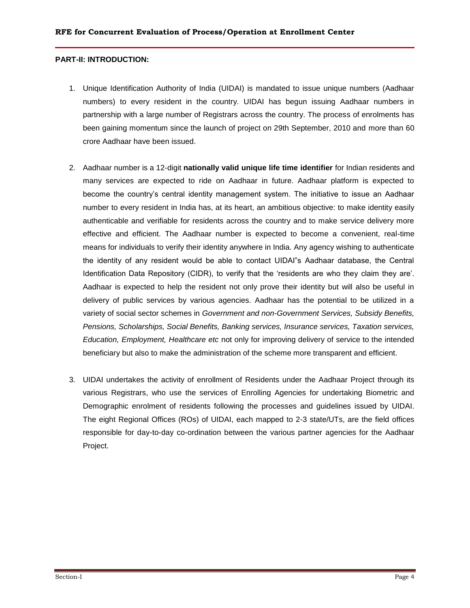#### **PART-II: INTRODUCTION:**

- 1. Unique Identification Authority of India (UIDAI) is mandated to issue unique numbers (Aadhaar numbers) to every resident in the country. UIDAI has begun issuing Aadhaar numbers in partnership with a large number of Registrars across the country. The process of enrolments has been gaining momentum since the launch of project on 29th September, 2010 and more than 60 crore Aadhaar have been issued.
- 2. Aadhaar number is a 12-digit **nationally valid unique life time identifier** for Indian residents and many services are expected to ride on Aadhaar in future. Aadhaar platform is expected to become the country"s central identity management system. The initiative to issue an Aadhaar number to every resident in India has, at its heart, an ambitious objective: to make identity easily authenticable and verifiable for residents across the country and to make service delivery more effective and efficient. The Aadhaar number is expected to become a convenient, real-time means for individuals to verify their identity anywhere in India. Any agency wishing to authenticate the identity of any resident would be able to contact UIDAI"s Aadhaar database, the Central Identification Data Repository (CIDR), to verify that the "residents are who they claim they are". Aadhaar is expected to help the resident not only prove their identity but will also be useful in delivery of public services by various agencies. Aadhaar has the potential to be utilized in a variety of social sector schemes in *Government and non-Government Services, Subsidy Benefits, Pensions, Scholarships, Social Benefits, Banking services, Insurance services, Taxation services, Education, Employment, Healthcare etc* not only for improving delivery of service to the intended beneficiary but also to make the administration of the scheme more transparent and efficient.
- 3. UIDAI undertakes the activity of enrollment of Residents under the Aadhaar Project through its various Registrars, who use the services of Enrolling Agencies for undertaking Biometric and Demographic enrolment of residents following the processes and guidelines issued by UIDAI. The eight Regional Offices (ROs) of UIDAI, each mapped to 2-3 state/UTs, are the field offices responsible for day-to-day co-ordination between the various partner agencies for the Aadhaar Project.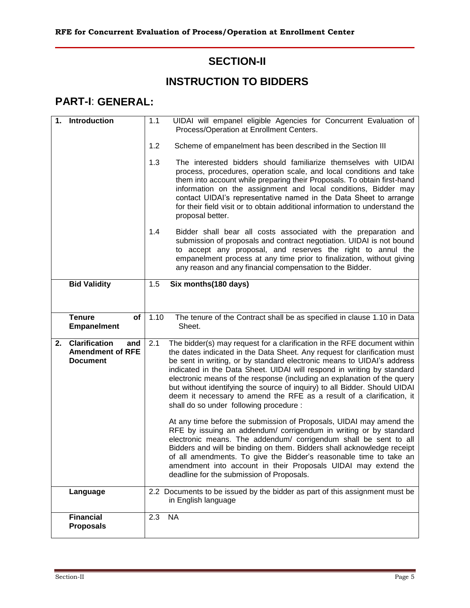# **SECTION-II**

# **INSTRUCTION TO BIDDERS**

# **PART-I**: **GENERAL:**

| 1. | <b>Introduction</b>                                                       | 1.1  | UIDAI will empanel eligible Agencies for Concurrent Evaluation of<br>Process/Operation at Enrollment Centers.                                                                                                                                                                                                                                                                                                                                                                                                                                                                                                                                                 |
|----|---------------------------------------------------------------------------|------|---------------------------------------------------------------------------------------------------------------------------------------------------------------------------------------------------------------------------------------------------------------------------------------------------------------------------------------------------------------------------------------------------------------------------------------------------------------------------------------------------------------------------------------------------------------------------------------------------------------------------------------------------------------|
|    |                                                                           | 1.2  | Scheme of empanelment has been described in the Section III                                                                                                                                                                                                                                                                                                                                                                                                                                                                                                                                                                                                   |
|    |                                                                           | 1.3  | The interested bidders should familiarize themselves with UIDAI<br>process, procedures, operation scale, and local conditions and take<br>them into account while preparing their Proposals. To obtain first-hand<br>information on the assignment and local conditions, Bidder may<br>contact UIDAI's representative named in the Data Sheet to arrange<br>for their field visit or to obtain additional information to understand the<br>proposal better.                                                                                                                                                                                                   |
|    |                                                                           | 1.4  | Bidder shall bear all costs associated with the preparation and<br>submission of proposals and contract negotiation. UIDAI is not bound<br>to accept any proposal, and reserves the right to annul the<br>empanelment process at any time prior to finalization, without giving<br>any reason and any financial compensation to the Bidder.                                                                                                                                                                                                                                                                                                                   |
|    | <b>Bid Validity</b>                                                       | 1.5  | Six months (180 days)                                                                                                                                                                                                                                                                                                                                                                                                                                                                                                                                                                                                                                         |
|    |                                                                           |      |                                                                                                                                                                                                                                                                                                                                                                                                                                                                                                                                                                                                                                                               |
|    | <b>Tenure</b><br>of<br><b>Empanelment</b>                                 | 1.10 | The tenure of the Contract shall be as specified in clause 1.10 in Data<br>Sheet.                                                                                                                                                                                                                                                                                                                                                                                                                                                                                                                                                                             |
| 2. | <b>Clarification</b><br>and<br><b>Amendment of RFE</b><br><b>Document</b> | 2.1  | The bidder(s) may request for a clarification in the RFE document within<br>the dates indicated in the Data Sheet. Any request for clarification must<br>be sent in writing, or by standard electronic means to UIDAI's address<br>indicated in the Data Sheet. UIDAI will respond in writing by standard<br>electronic means of the response (including an explanation of the query<br>but without identifying the source of inquiry) to all Bidder. Should UIDAI<br>deem it necessary to amend the RFE as a result of a clarification, it<br>shall do so under following procedure :<br>At any time before the submission of Proposals, UIDAI may amend the |
|    |                                                                           |      | RFE by issuing an addendum/ corrigendum in writing or by standard<br>electronic means. The addendum/ corrigendum shall be sent to all<br>Bidders and will be binding on them. Bidders shall acknowledge receipt<br>of all amendments. To give the Bidder's reasonable time to take an<br>amendment into account in their Proposals UIDAI may extend the<br>deadline for the submission of Proposals.                                                                                                                                                                                                                                                          |
|    | Language                                                                  |      | 2.2 Documents to be issued by the bidder as part of this assignment must be<br>in English language                                                                                                                                                                                                                                                                                                                                                                                                                                                                                                                                                            |
|    | <b>Financial</b><br><b>Proposals</b>                                      | 2.3  | <b>NA</b>                                                                                                                                                                                                                                                                                                                                                                                                                                                                                                                                                                                                                                                     |
|    |                                                                           |      |                                                                                                                                                                                                                                                                                                                                                                                                                                                                                                                                                                                                                                                               |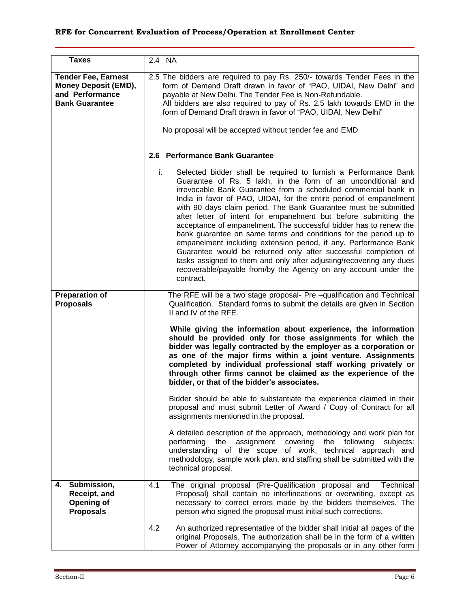| <b>Taxes</b>                                                                                          | 2.4 NA                                                                                                                                                                                                                                                                                                                                                                                                                                                                                                                                                                                                                                                                                                                                                                                                                                                      |
|-------------------------------------------------------------------------------------------------------|-------------------------------------------------------------------------------------------------------------------------------------------------------------------------------------------------------------------------------------------------------------------------------------------------------------------------------------------------------------------------------------------------------------------------------------------------------------------------------------------------------------------------------------------------------------------------------------------------------------------------------------------------------------------------------------------------------------------------------------------------------------------------------------------------------------------------------------------------------------|
| <b>Tender Fee, Earnest</b><br><b>Money Deposit (EMD),</b><br>and Performance<br><b>Bank Guarantee</b> | 2.5 The bidders are required to pay Rs. 250/- towards Tender Fees in the<br>form of Demand Draft drawn in favor of "PAO, UIDAI, New Delhi" and<br>payable at New Delhi. The Tender Fee is Non-Refundable.<br>All bidders are also required to pay of Rs. 2.5 lakh towards EMD in the<br>form of Demand Draft drawn in favor of "PAO, UIDAI, New Delhi"                                                                                                                                                                                                                                                                                                                                                                                                                                                                                                      |
|                                                                                                       | No proposal will be accepted without tender fee and EMD                                                                                                                                                                                                                                                                                                                                                                                                                                                                                                                                                                                                                                                                                                                                                                                                     |
|                                                                                                       | 2.6 Performance Bank Guarantee                                                                                                                                                                                                                                                                                                                                                                                                                                                                                                                                                                                                                                                                                                                                                                                                                              |
|                                                                                                       | i.<br>Selected bidder shall be required to furnish a Performance Bank<br>Guarantee of Rs. 5 lakh, in the form of an unconditional and<br>irrevocable Bank Guarantee from a scheduled commercial bank in<br>India in favor of PAO, UIDAI, for the entire period of empanelment<br>with 90 days claim period. The Bank Guarantee must be submitted<br>after letter of intent for empanelment but before submitting the<br>acceptance of empanelment. The successful bidder has to renew the<br>bank guarantee on same terms and conditions for the period up to<br>empanelment including extension period, if any. Performance Bank<br>Guarantee would be returned only after successful completion of<br>tasks assigned to them and only after adjusting/recovering any dues<br>recoverable/payable from/by the Agency on any account under the<br>contract. |
| <b>Preparation of</b><br><b>Proposals</b>                                                             | The RFE will be a two stage proposal- Pre -qualification and Technical<br>Qualification. Standard forms to submit the details are given in Section<br>II and IV of the RFE.                                                                                                                                                                                                                                                                                                                                                                                                                                                                                                                                                                                                                                                                                 |
|                                                                                                       | While giving the information about experience, the information<br>should be provided only for those assignments for which the<br>bidder was legally contracted by the employer as a corporation or<br>as one of the major firms within a joint venture. Assignments<br>completed by individual professional staff working privately or<br>through other firms cannot be claimed as the experience of the<br>bidder, or that of the bidder's associates.                                                                                                                                                                                                                                                                                                                                                                                                     |
|                                                                                                       | Bidder should be able to substantiate the experience claimed in their<br>proposal and must submit Letter of Award / Copy of Contract for all<br>assignments mentioned in the proposal.                                                                                                                                                                                                                                                                                                                                                                                                                                                                                                                                                                                                                                                                      |
|                                                                                                       | A detailed description of the approach, methodology and work plan for<br>assignment covering<br>performing the<br>the following<br>subjects:<br>understanding of the scope of work, technical approach and<br>methodology, sample work plan, and staffing shall be submitted with the<br>technical proposal.                                                                                                                                                                                                                                                                                                                                                                                                                                                                                                                                                |
| Submission,<br>4.<br>Receipt, and<br>Opening of<br><b>Proposals</b>                                   | 4.1<br>The original proposal (Pre-Qualification proposal and<br>Technical<br>Proposal) shall contain no interlineations or overwriting, except as<br>necessary to correct errors made by the bidders themselves. The<br>person who signed the proposal must initial such corrections.                                                                                                                                                                                                                                                                                                                                                                                                                                                                                                                                                                       |
|                                                                                                       | 4.2<br>An authorized representative of the bidder shall initial all pages of the<br>original Proposals. The authorization shall be in the form of a written<br>Power of Attorney accompanying the proposals or in any other form                                                                                                                                                                                                                                                                                                                                                                                                                                                                                                                                                                                                                            |

,我们也不会有什么。""我们的人,我们也不会有什么?""我们的人,我们也不会有什么?""我们的人,我们也不会有什么?""我们的人,我们也不会有什么?""我们的人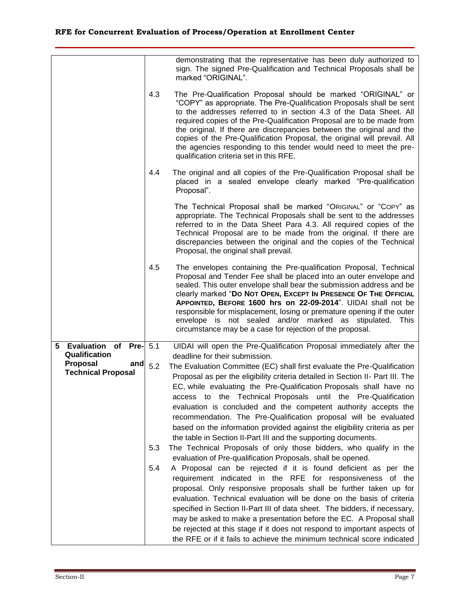|                                                     | demonstrating that the representative has been duly authorized to<br>sign. The signed Pre-Qualification and Technical Proposals shall be<br>marked "ORIGINAL".                                                                                                                                                                                                                                                                                                                                                                                             |
|-----------------------------------------------------|------------------------------------------------------------------------------------------------------------------------------------------------------------------------------------------------------------------------------------------------------------------------------------------------------------------------------------------------------------------------------------------------------------------------------------------------------------------------------------------------------------------------------------------------------------|
| 4.3                                                 | The Pre-Qualification Proposal should be marked "ORIGINAL" or<br>"COPY" as appropriate. The Pre-Qualification Proposals shall be sent<br>to the addresses referred to in section 4.3 of the Data Sheet. All<br>required copies of the Pre-Qualification Proposal are to be made from<br>the original. If there are discrepancies between the original and the<br>copies of the Pre-Qualification Proposal, the original will prevail. All<br>the agencies responding to this tender would need to meet the pre-<br>qualification criteria set in this RFE. |
| 4.4                                                 | The original and all copies of the Pre-Qualification Proposal shall be<br>placed in a sealed envelope clearly marked "Pre-qualification<br>Proposal".                                                                                                                                                                                                                                                                                                                                                                                                      |
|                                                     | The Technical Proposal shall be marked "ORIGINAL" or "COPY" as<br>appropriate. The Technical Proposals shall be sent to the addresses<br>referred to in the Data Sheet Para 4.3. All required copies of the<br>Technical Proposal are to be made from the original. If there are<br>discrepancies between the original and the copies of the Technical<br>Proposal, the original shall prevail.                                                                                                                                                            |
| 4.5                                                 | The envelopes containing the Pre-qualification Proposal, Technical<br>Proposal and Tender Fee shall be placed into an outer envelope and<br>sealed. This outer envelope shall bear the submission address and be<br>clearly marked "Do Not OPEN, ExcePT In PRESENCE OF THE OFFICIAL<br>APPOINTED, BEFORE 1600 hrs on 22-09-2014". UIDAI shall not be<br>responsible for misplacement, losing or premature opening if the outer<br>envelope is not sealed and/or marked as stipulated. This<br>circumstance may be a case for rejection of the proposal.    |
| 5 Evaluation of Pre- 5.1                            | UIDAI will open the Pre-Qualification Proposal immediately after the                                                                                                                                                                                                                                                                                                                                                                                                                                                                                       |
| Qualification                                       | deadline for their submission.                                                                                                                                                                                                                                                                                                                                                                                                                                                                                                                             |
| Proposal<br>and<br>5.2<br><b>Technical Proposal</b> | The Evaluation Committee (EC) shall first evaluate the Pre-Qualification                                                                                                                                                                                                                                                                                                                                                                                                                                                                                   |
|                                                     | Proposal as per the eligibility criteria detailed in Section II- Part III. The<br>EC, while evaluating the Pre-Qualification Proposals shall have no                                                                                                                                                                                                                                                                                                                                                                                                       |
|                                                     | access to the Technical Proposals until the Pre-Qualification                                                                                                                                                                                                                                                                                                                                                                                                                                                                                              |
|                                                     | evaluation is concluded and the competent authority accepts the                                                                                                                                                                                                                                                                                                                                                                                                                                                                                            |
|                                                     | recommendation. The Pre-Qualification proposal will be evaluated                                                                                                                                                                                                                                                                                                                                                                                                                                                                                           |
|                                                     | based on the information provided against the eligibility criteria as per<br>the table in Section II-Part III and the supporting documents.                                                                                                                                                                                                                                                                                                                                                                                                                |
| 5.3                                                 | The Technical Proposals of only those bidders, who qualify in the                                                                                                                                                                                                                                                                                                                                                                                                                                                                                          |
|                                                     | evaluation of Pre-qualification Proposals, shall be opened.                                                                                                                                                                                                                                                                                                                                                                                                                                                                                                |
| 5.4                                                 | A Proposal can be rejected if it is found deficient as per the<br>requirement indicated in the RFE for responsiveness of the                                                                                                                                                                                                                                                                                                                                                                                                                               |
|                                                     | proposal. Only responsive proposals shall be further taken up for                                                                                                                                                                                                                                                                                                                                                                                                                                                                                          |
|                                                     | evaluation. Technical evaluation will be done on the basis of criteria                                                                                                                                                                                                                                                                                                                                                                                                                                                                                     |
|                                                     | specified in Section II-Part III of data sheet. The bidders, if necessary,                                                                                                                                                                                                                                                                                                                                                                                                                                                                                 |
|                                                     | may be asked to make a presentation before the EC. A Proposal shall<br>be rejected at this stage if it does not respond to important aspects of                                                                                                                                                                                                                                                                                                                                                                                                            |
|                                                     | the RFE or if it fails to achieve the minimum technical score indicated                                                                                                                                                                                                                                                                                                                                                                                                                                                                                    |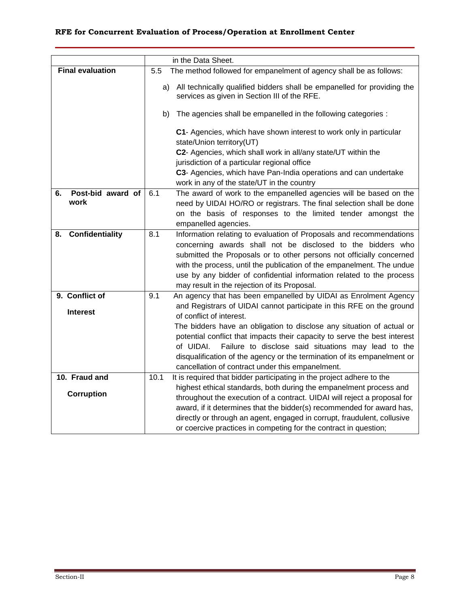|                              |      | in the Data Sheet.                                                                                                         |
|------------------------------|------|----------------------------------------------------------------------------------------------------------------------------|
| <b>Final evaluation</b>      | 5.5  | The method followed for empanelment of agency shall be as follows:                                                         |
|                              |      | a) All technically qualified bidders shall be empanelled for providing the<br>services as given in Section III of the RFE. |
|                              | b)   | The agencies shall be empanelled in the following categories :                                                             |
|                              |      | C1- Agencies, which have shown interest to work only in particular<br>state/Union territory(UT)                            |
|                              |      | C2- Agencies, which shall work in all/any state/UT within the                                                              |
|                              |      | jurisdiction of a particular regional office                                                                               |
|                              |      | C3- Agencies, which have Pan-India operations and can undertake                                                            |
|                              |      | work in any of the state/UT in the country                                                                                 |
| Post-bid award of<br>6.      | 6.1  | The award of work to the empanelled agencies will be based on the                                                          |
| work                         |      | need by UIDAI HO/RO or registrars. The final selection shall be done                                                       |
|                              |      | on the basis of responses to the limited tender amongst the                                                                |
|                              |      | empanelled agencies.                                                                                                       |
| <b>Confidentiality</b><br>8. | 8.1  | Information relating to evaluation of Proposals and recommendations                                                        |
|                              |      | concerning awards shall not be disclosed to the bidders who                                                                |
|                              |      | submitted the Proposals or to other persons not officially concerned                                                       |
|                              |      | with the process, until the publication of the empanelment. The undue                                                      |
|                              |      | use by any bidder of confidential information related to the process                                                       |
|                              |      | may result in the rejection of its Proposal.                                                                               |
| 9. Conflict of               | 9.1  | An agency that has been empanelled by UIDAI as Enrolment Agency                                                            |
| <b>Interest</b>              |      | and Registrars of UIDAI cannot participate in this RFE on the ground                                                       |
|                              |      | of conflict of interest.                                                                                                   |
|                              |      | The bidders have an obligation to disclose any situation of actual or                                                      |
|                              |      | potential conflict that impacts their capacity to serve the best interest                                                  |
|                              |      | Failure to disclose said situations may lead to the<br>of UIDAI.                                                           |
|                              |      | disqualification of the agency or the termination of its empanelment or                                                    |
|                              |      | cancellation of contract under this empanelment.                                                                           |
| 10. Fraud and                | 10.1 | It is required that bidder participating in the project adhere to the                                                      |
| <b>Corruption</b>            |      | highest ethical standards, both during the empanelment process and                                                         |
|                              |      | throughout the execution of a contract. UIDAI will reject a proposal for                                                   |
|                              |      | award, if it determines that the bidder(s) recommended for award has,                                                      |
|                              |      | directly or through an agent, engaged in corrupt, fraudulent, collusive                                                    |
|                              |      | or coercive practices in competing for the contract in question;                                                           |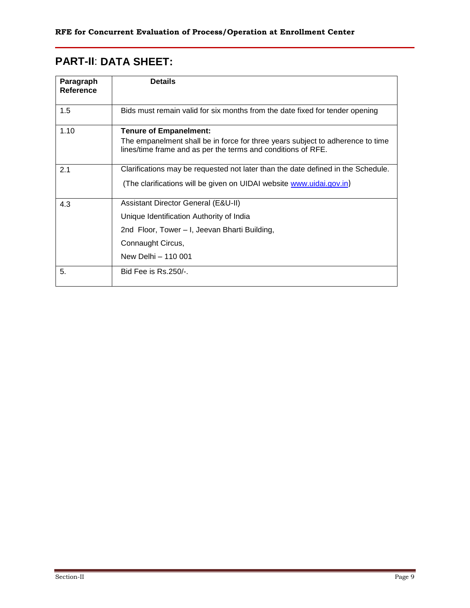# **PART-II**: **DATA SHEET:**

| Paragraph<br><b>Reference</b> | <b>Details</b>                                                                                                                                                                  |
|-------------------------------|---------------------------------------------------------------------------------------------------------------------------------------------------------------------------------|
| 1.5                           | Bids must remain valid for six months from the date fixed for tender opening                                                                                                    |
| 1.10                          | <b>Tenure of Empanelment:</b><br>The empanelment shall be in force for three years subject to adherence to time<br>lines/time frame and as per the terms and conditions of RFE. |
| 2.1                           | Clarifications may be requested not later than the date defined in the Schedule.<br>(The clarifications will be given on UIDAI website www.uidai.gov.in)                        |
| 4.3                           | Assistant Director General (E&U-II)<br>Unique Identification Authority of India<br>2nd Floor, Tower – I, Jeevan Bharti Building,<br>Connaught Circus,<br>New Delhi - 110 001    |
| 5.                            | Bid Fee is $Rs.250/-$                                                                                                                                                           |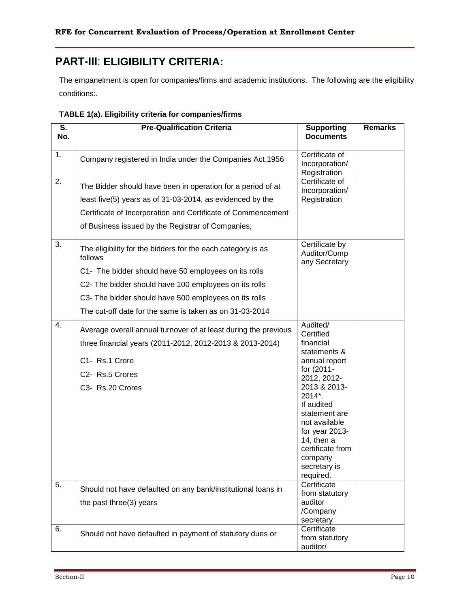# **PART-III**: **ELIGIBILITY CRITERIA:**

The empanelment is open for companies/firms and academic institutions. The following are the eligibility conditions:.

| S.  | <b>Pre-Qualification Criteria</b>                                      | <b>Supporting</b>                               | <b>Remarks</b> |
|-----|------------------------------------------------------------------------|-------------------------------------------------|----------------|
| No. |                                                                        | <b>Documents</b>                                |                |
| 1.  | Company registered in India under the Companies Act, 1956              | Certificate of                                  |                |
|     |                                                                        | Incorporation/<br>Registration                  |                |
| 2.  | The Bidder should have been in operation for a period of at            | Certificate of<br>Incorporation/                |                |
|     | least five(5) years as of 31-03-2014, as evidenced by the              | Registration                                    |                |
|     | Certificate of Incorporation and Certificate of Commencement           |                                                 |                |
|     | of Business issued by the Registrar of Companies;                      |                                                 |                |
| 3.  | The eligibility for the bidders for the each category is as<br>follows | Certificate by<br>Auditor/Comp<br>any Secretary |                |
|     | C1- The bidder should have 50 employees on its rolls                   |                                                 |                |
|     | C2- The bidder should have 100 employees on its rolls                  |                                                 |                |
|     | C3- The bidder should have 500 employees on its rolls                  |                                                 |                |
|     | The cut-off date for the same is taken as on 31-03-2014                |                                                 |                |
| 4.  | Average overall annual turnover of at least during the previous        | Audited/<br>Certified                           |                |
|     | three financial years (2011-2012, 2012-2013 & 2013-2014)               | financial                                       |                |
|     | C1- Rs.1 Crore                                                         | statements &<br>annual report                   |                |
|     | C2- Rs.5 Crores                                                        | for (2011-<br>2012, 2012-                       |                |
|     | C3- Rs.20 Crores                                                       | 2013 & 2013-                                    |                |
|     |                                                                        | 2014*.<br>If audited                            |                |
|     |                                                                        | statement are                                   |                |
|     |                                                                        | not available<br>for year 2013-                 |                |
|     |                                                                        | 14, then $a$                                    |                |
|     |                                                                        | certificate from<br>company                     |                |
|     |                                                                        | secretary is                                    |                |
|     |                                                                        | required.                                       |                |
| 5.  | Should not have defaulted on any bank/institutional loans in           | Certificate<br>from statutory                   |                |
|     | the past three(3) years                                                | auditor                                         |                |
|     |                                                                        | /Company<br>secretary                           |                |
| 6.  |                                                                        | Certificate                                     |                |
|     | Should not have defaulted in payment of statutory dues or              | from statutory<br>auditor/                      |                |

| TABLE 1(a). Eligibility criteria for companies/firms |  |
|------------------------------------------------------|--|
|------------------------------------------------------|--|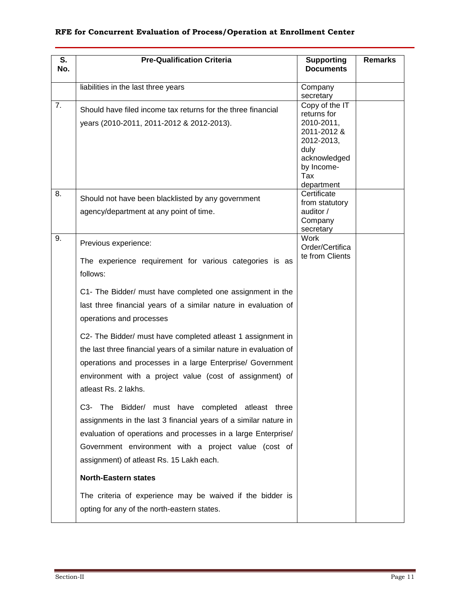| S.<br>No. | <b>Pre-Qualification Criteria</b>                                                                                                                                                                                                                                                                       | <b>Supporting</b><br><b>Documents</b>                                                                                               | <b>Remarks</b> |
|-----------|---------------------------------------------------------------------------------------------------------------------------------------------------------------------------------------------------------------------------------------------------------------------------------------------------------|-------------------------------------------------------------------------------------------------------------------------------------|----------------|
|           | liabilities in the last three years                                                                                                                                                                                                                                                                     | Company<br>secretary                                                                                                                |                |
| 7.        | Should have filed income tax returns for the three financial<br>years (2010-2011, 2011-2012 & 2012-2013).                                                                                                                                                                                               | Copy of the IT<br>returns for<br>2010-2011,<br>2011-2012 &<br>2012-2013,<br>duly<br>acknowledged<br>by Income-<br>Tax<br>department |                |
| 8.        | Should not have been blacklisted by any government<br>agency/department at any point of time.                                                                                                                                                                                                           | Certificate<br>from statutory<br>auditor /<br>Company<br>secretary                                                                  |                |
| 9.        | Previous experience:<br>The experience requirement for various categories is as<br>follows:                                                                                                                                                                                                             | <b>Work</b><br>Order/Certifica<br>te from Clients                                                                                   |                |
|           | C1- The Bidder/ must have completed one assignment in the<br>last three financial years of a similar nature in evaluation of<br>operations and processes                                                                                                                                                |                                                                                                                                     |                |
|           | C2- The Bidder/ must have completed atleast 1 assignment in<br>the last three financial years of a similar nature in evaluation of<br>operations and processes in a large Enterprise/ Government<br>environment with a project value (cost of assignment) of<br>atleast Rs. 2 lakhs.                    |                                                                                                                                     |                |
|           | Bidder/ must have completed atleast three<br>C3-<br><b>The</b><br>assignments in the last 3 financial years of a similar nature in<br>evaluation of operations and processes in a large Enterprise/<br>Government environment with a project value (cost of<br>assignment) of atleast Rs. 15 Lakh each. |                                                                                                                                     |                |
|           | <b>North-Eastern states</b>                                                                                                                                                                                                                                                                             |                                                                                                                                     |                |
|           | The criteria of experience may be waived if the bidder is<br>opting for any of the north-eastern states.                                                                                                                                                                                                |                                                                                                                                     |                |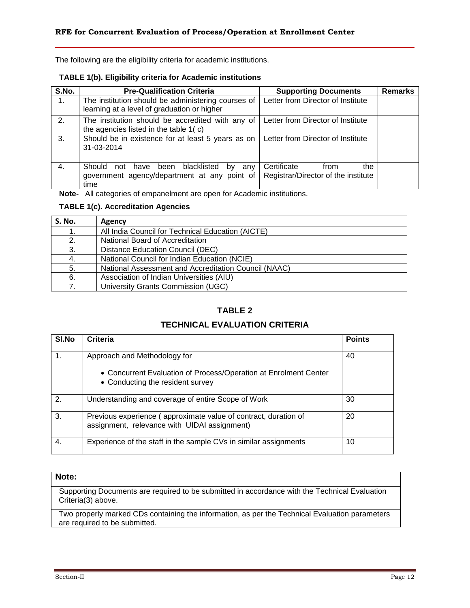The following are the eligibility criteria for academic institutions.

#### **TABLE 1(b). Eligibility criteria for Academic institutions**

| S.No. | <b>Pre-Qualification Criteria</b>                                                                     | <b>Supporting Documents</b>                                       | <b>Remarks</b> |
|-------|-------------------------------------------------------------------------------------------------------|-------------------------------------------------------------------|----------------|
| 1.    | The institution should be administering courses of<br>learning at a level of graduation or higher     | Letter from Director of Institute                                 |                |
| 2.    | The institution should be accredited with any of<br>the agencies listed in the table 1(c)             | Letter from Director of Institute                                 |                |
| 3.    | Should be in existence for at least 5 years as on<br>31-03-2014                                       | Letter from Director of Institute                                 |                |
| 4.    | have been blacklisted<br>Should not<br>by any<br>government agency/department at any point of<br>time | Certificate<br>the<br>from<br>Registrar/Director of the institute |                |

**Note-** All categories of empanelment are open for Academic institutions.

#### **TABLE 1(c). Accreditation Agencies**

| S. No. | Agency                                               |
|--------|------------------------------------------------------|
| 1.     | All India Council for Technical Education (AICTE)    |
| 2.     | National Board of Accreditation                      |
| 3.     | Distance Education Council (DEC)                     |
| 4.     | National Council for Indian Education (NCIE)         |
| 5.     | National Assessment and Accreditation Council (NAAC) |
| 6.     | Association of Indian Universities (AIU)             |
|        | University Grants Commission (UGC)                   |

### **TABLE 2**

### **TECHNICAL EVALUATION CRITERIA**

| SI.No | Criteria                                                                                                        | <b>Points</b> |
|-------|-----------------------------------------------------------------------------------------------------------------|---------------|
|       | Approach and Methodology for                                                                                    | 40            |
|       | • Concurrent Evaluation of Process/Operation at Enrolment Center<br>• Conducting the resident survey            |               |
| 2.    | Understanding and coverage of entire Scope of Work                                                              | 30            |
| 3.    | Previous experience (approximate value of contract, duration of<br>assignment, relevance with UIDAI assignment) | 20            |
| 4.    | Experience of the staff in the sample CVs in similar assignments                                                | 10            |

#### **Note:**

Supporting Documents are required to be submitted in accordance with the Technical Evaluation Criteria(3) above.

Two properly marked CDs containing the information, as per the Technical Evaluation parameters are required to be submitted.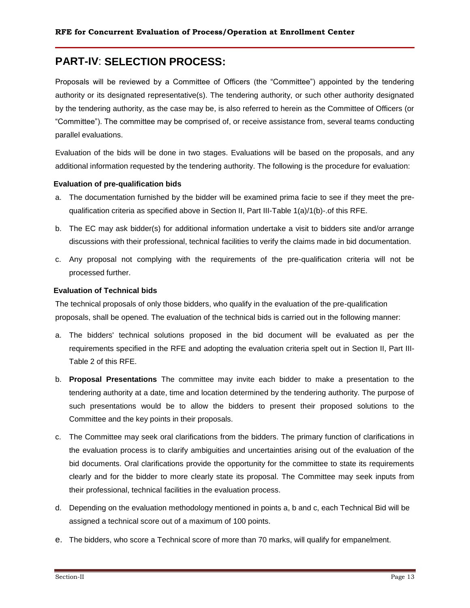# **PART-IV**: **SELECTION PROCESS:**

Proposals will be reviewed by a Committee of Officers (the "Committee") appointed by the tendering authority or its designated representative(s). The tendering authority, or such other authority designated by the tendering authority, as the case may be, is also referred to herein as the Committee of Officers (or "Committee"). The committee may be comprised of, or receive assistance from, several teams conducting parallel evaluations.

Evaluation of the bids will be done in two stages. Evaluations will be based on the proposals, and any additional information requested by the tendering authority. The following is the procedure for evaluation:

#### **Evaluation of pre-qualification bids**

- a. The documentation furnished by the bidder will be examined prima facie to see if they meet the prequalification criteria as specified above in Section II, Part III-Table 1(a)/1(b)-.of this RFE.
- b. The EC may ask bidder(s) for additional information undertake a visit to bidders site and/or arrange discussions with their professional, technical facilities to verify the claims made in bid documentation.
- c. Any proposal not complying with the requirements of the pre-qualification criteria will not be processed further.

#### **Evaluation of Technical bids**

The technical proposals of only those bidders, who qualify in the evaluation of the pre-qualification proposals, shall be opened. The evaluation of the technical bids is carried out in the following manner:

- a. The bidders' technical solutions proposed in the bid document will be evaluated as per the requirements specified in the RFE and adopting the evaluation criteria spelt out in Section II, Part III-Table 2 of this RFE.
- b. **Proposal Presentations** The committee may invite each bidder to make a presentation to the tendering authority at a date, time and location determined by the tendering authority. The purpose of such presentations would be to allow the bidders to present their proposed solutions to the Committee and the key points in their proposals.
- c. The Committee may seek oral clarifications from the bidders. The primary function of clarifications in the evaluation process is to clarify ambiguities and uncertainties arising out of the evaluation of the bid documents. Oral clarifications provide the opportunity for the committee to state its requirements clearly and for the bidder to more clearly state its proposal. The Committee may seek inputs from their professional, technical facilities in the evaluation process.
- d. Depending on the evaluation methodology mentioned in points a, b and c, each Technical Bid will be assigned a technical score out of a maximum of 100 points.
- e. The bidders, who score a Technical score of more than 70 marks, will qualify for empanelment.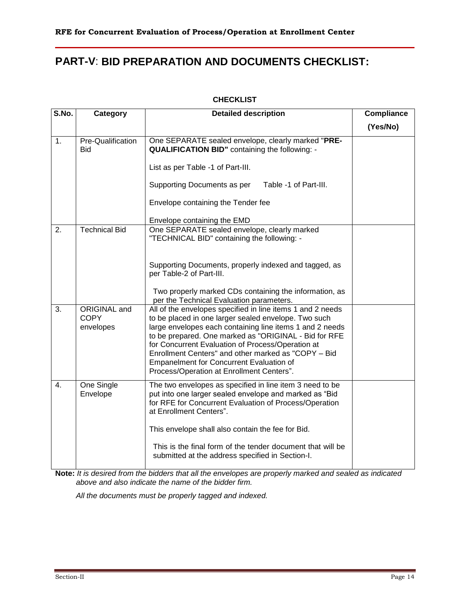# **PART-V**: **BID PREPARATION AND DOCUMENTS CHECKLIST:**

#### **CHECKLIST**

| S.No.            | Category                                 | <b>Detailed description</b>                                                                                                                                                                                                                                                                                                                                                                                                                         | <b>Compliance</b> |
|------------------|------------------------------------------|-----------------------------------------------------------------------------------------------------------------------------------------------------------------------------------------------------------------------------------------------------------------------------------------------------------------------------------------------------------------------------------------------------------------------------------------------------|-------------------|
|                  |                                          |                                                                                                                                                                                                                                                                                                                                                                                                                                                     | (Yes/No)          |
| 1.               | Pre-Qualification<br><b>Bid</b>          | One SEPARATE sealed envelope, clearly marked "PRE-<br><b>QUALIFICATION BID"</b> containing the following: -<br>List as per Table -1 of Part-III.<br>Supporting Documents as per<br>Table -1 of Part-III.                                                                                                                                                                                                                                            |                   |
|                  |                                          | Envelope containing the Tender fee<br>Envelope containing the EMD                                                                                                                                                                                                                                                                                                                                                                                   |                   |
| 2.               | <b>Technical Bid</b>                     | One SEPARATE sealed envelope, clearly marked<br>"TECHNICAL BID" containing the following: -                                                                                                                                                                                                                                                                                                                                                         |                   |
|                  |                                          | Supporting Documents, properly indexed and tagged, as<br>per Table-2 of Part-III.<br>Two properly marked CDs containing the information, as<br>per the Technical Evaluation parameters.                                                                                                                                                                                                                                                             |                   |
| 3.               | ORIGINAL and<br><b>COPY</b><br>envelopes | All of the envelopes specified in line items 1 and 2 needs<br>to be placed in one larger sealed envelope. Two such<br>large envelopes each containing line items 1 and 2 needs<br>to be prepared. One marked as "ORIGINAL - Bid for RFE<br>for Concurrent Evaluation of Process/Operation at<br>Enrollment Centers" and other marked as "COPY - Bid<br><b>Empanelment for Concurrent Evaluation of</b><br>Process/Operation at Enrollment Centers". |                   |
| $\overline{4}$ . | One Single<br>Envelope                   | The two envelopes as specified in line item 3 need to be<br>put into one larger sealed envelope and marked as "Bid"<br>for RFE for Concurrent Evaluation of Process/Operation<br>at Enrollment Centers".<br>This envelope shall also contain the fee for Bid.<br>This is the final form of the tender document that will be<br>submitted at the address specified in Section-I.                                                                     |                   |

**Note:** *It is desired from the bidders that all the envelopes are properly marked and sealed as indicated above and also indicate the name of the bidder firm.* 

*All the documents must be properly tagged and indexed.*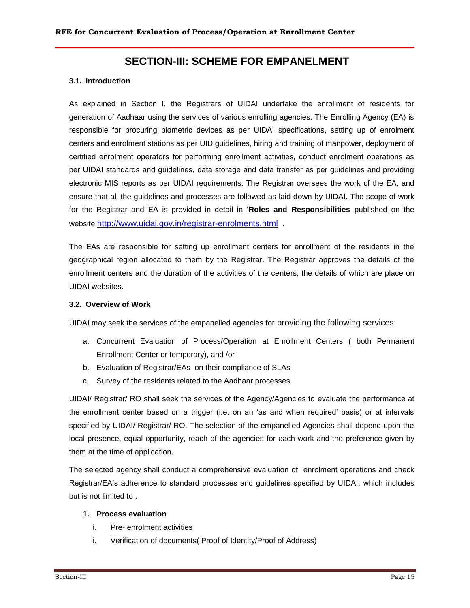### **SECTION-III: SCHEME FOR EMPANELMENT**

#### **3.1. Introduction**

As explained in Section I, the Registrars of UIDAI undertake the enrollment of residents for generation of Aadhaar using the services of various enrolling agencies. The Enrolling Agency (EA) is responsible for procuring biometric devices as per UIDAI specifications, setting up of enrolment centers and enrolment stations as per UID guidelines, hiring and training of manpower, deployment of certified enrolment operators for performing enrollment activities, conduct enrolment operations as per UIDAI standards and guidelines, data storage and data transfer as per guidelines and providing electronic MIS reports as per UIDAI requirements. The Registrar oversees the work of the EA, and ensure that all the guidelines and processes are followed as laid down by UIDAI. The scope of work for the Registrar and EA is provided in detail in "**Roles and Responsibilities** published on the website <http://www.uidai.gov.in/registrar-enrolments.html> .

The EAs are responsible for setting up enrollment centers for enrollment of the residents in the geographical region allocated to them by the Registrar. The Registrar approves the details of the enrollment centers and the duration of the activities of the centers, the details of which are place on UIDAI websites.

#### **3.2. Overview of Work**

UIDAI may seek the services of the empanelled agencies for providing the following services:

- a. Concurrent Evaluation of Process/Operation at Enrollment Centers ( both Permanent Enrollment Center or temporary), and /or
- b. Evaluation of Registrar/EAs on their compliance of SLAs
- c. Survey of the residents related to the Aadhaar processes

UIDAI/ Registrar/ RO shall seek the services of the Agency/Agencies to evaluate the performance at the enrollment center based on a trigger (i.e. on an "as and when required" basis) or at intervals specified by UIDAI/ Registrar/ RO. The selection of the empanelled Agencies shall depend upon the local presence, equal opportunity, reach of the agencies for each work and the preference given by them at the time of application.

The selected agency shall conduct a comprehensive evaluation of enrolment operations and check Registrar/EA"s adherence to standard processes and guidelines specified by UIDAI, which includes but is not limited to ,

#### **1. Process evaluation**

- i. Pre- enrolment activities
- ii. Verification of documents( Proof of Identity/Proof of Address)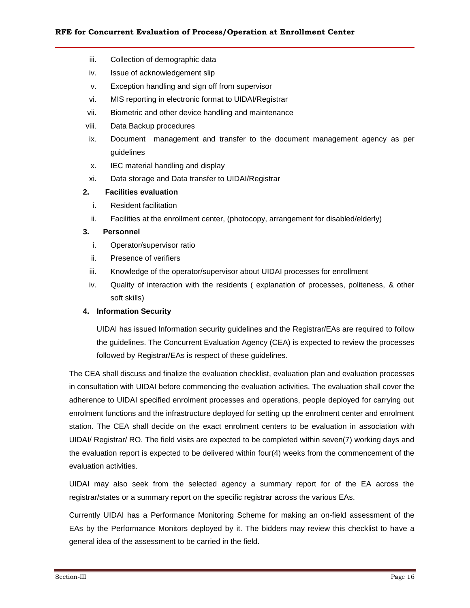- iii. Collection of demographic data
- iv. Issue of acknowledgement slip
- v. Exception handling and sign off from supervisor
- vi. MIS reporting in electronic format to UIDAI/Registrar
- vii. Biometric and other device handling and maintenance
- viii. Data Backup procedures
- ix. Document management and transfer to the document management agency as per guidelines
- x. IEC material handling and display
- xi. Data storage and Data transfer to UIDAI/Registrar

#### **2. Facilities evaluation**

- i. Resident facilitation
- ii. Facilities at the enrollment center, (photocopy, arrangement for disabled/elderly)

#### **3. Personnel**

- i. Operator/supervisor ratio
- ii. Presence of verifiers
- iii. Knowledge of the operator/supervisor about UIDAI processes for enrollment
- iv. Quality of interaction with the residents ( explanation of processes, politeness, & other soft skills)

#### **4. Information Security**

UIDAI has issued Information security guidelines and the Registrar/EAs are required to follow the guidelines. The Concurrent Evaluation Agency (CEA) is expected to review the processes followed by Registrar/EAs is respect of these guidelines.

The CEA shall discuss and finalize the evaluation checklist, evaluation plan and evaluation processes in consultation with UIDAI before commencing the evaluation activities. The evaluation shall cover the adherence to UIDAI specified enrolment processes and operations, people deployed for carrying out enrolment functions and the infrastructure deployed for setting up the enrolment center and enrolment station. The CEA shall decide on the exact enrolment centers to be evaluation in association with UIDAI/ Registrar/ RO. The field visits are expected to be completed within seven(7) working days and the evaluation report is expected to be delivered within four(4) weeks from the commencement of the evaluation activities.

UIDAI may also seek from the selected agency a summary report for of the EA across the registrar/states or a summary report on the specific registrar across the various EAs.

Currently UIDAI has a Performance Monitoring Scheme for making an on-field assessment of the EAs by the Performance Monitors deployed by it. The bidders may review this checklist to have a general idea of the assessment to be carried in the field.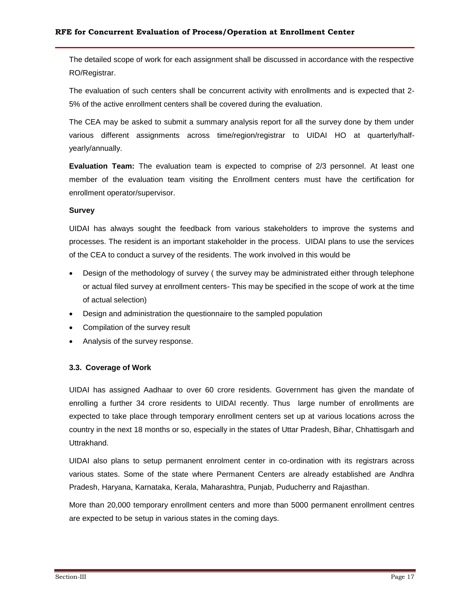The detailed scope of work for each assignment shall be discussed in accordance with the respective RO/Registrar.

The evaluation of such centers shall be concurrent activity with enrollments and is expected that 2- 5% of the active enrollment centers shall be covered during the evaluation.

The CEA may be asked to submit a summary analysis report for all the survey done by them under various different assignments across time/region/registrar to UIDAI HO at quarterly/halfyearly/annually.

**Evaluation Team:** The evaluation team is expected to comprise of 2/3 personnel. At least one member of the evaluation team visiting the Enrollment centers must have the certification for enrollment operator/supervisor.

#### **Survey**

UIDAI has always sought the feedback from various stakeholders to improve the systems and processes. The resident is an important stakeholder in the process. UIDAI plans to use the services of the CEA to conduct a survey of the residents. The work involved in this would be

- Design of the methodology of survey ( the survey may be administrated either through telephone or actual filed survey at enrollment centers- This may be specified in the scope of work at the time of actual selection)
- Design and administration the questionnaire to the sampled population
- Compilation of the survey result
- Analysis of the survey response.

#### **3.3. Coverage of Work**

UIDAI has assigned Aadhaar to over 60 crore residents. Government has given the mandate of enrolling a further 34 crore residents to UIDAI recently. Thus large number of enrollments are expected to take place through temporary enrollment centers set up at various locations across the country in the next 18 months or so, especially in the states of Uttar Pradesh, Bihar, Chhattisgarh and Uttrakhand.

UIDAI also plans to setup permanent enrolment center in co-ordination with its registrars across various states. Some of the state where Permanent Centers are already established are Andhra Pradesh, Haryana, Karnataka, Kerala, Maharashtra, Punjab, Puducherry and Rajasthan.

More than 20,000 temporary enrollment centers and more than 5000 permanent enrollment centres are expected to be setup in various states in the coming days.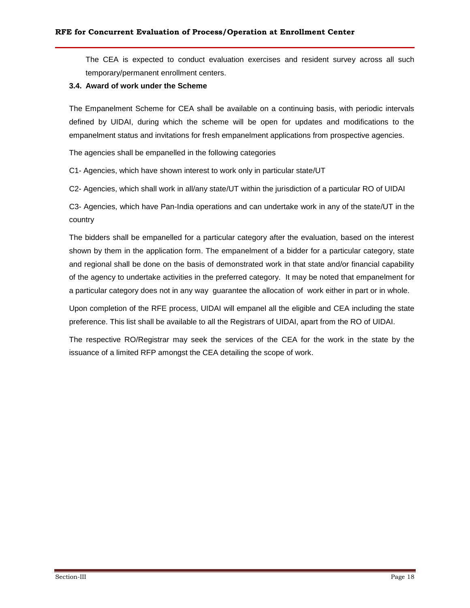The CEA is expected to conduct evaluation exercises and resident survey across all such temporary/permanent enrollment centers.

#### **3.4. Award of work under the Scheme**

The Empanelment Scheme for CEA shall be available on a continuing basis, with periodic intervals defined by UIDAI, during which the scheme will be open for updates and modifications to the empanelment status and invitations for fresh empanelment applications from prospective agencies.

The agencies shall be empanelled in the following categories

C1- Agencies, which have shown interest to work only in particular state/UT

C2- Agencies, which shall work in all/any state/UT within the jurisdiction of a particular RO of UIDAI

C3- Agencies, which have Pan-India operations and can undertake work in any of the state/UT in the country

The bidders shall be empanelled for a particular category after the evaluation, based on the interest shown by them in the application form. The empanelment of a bidder for a particular category, state and regional shall be done on the basis of demonstrated work in that state and/or financial capability of the agency to undertake activities in the preferred category. It may be noted that empanelment for a particular category does not in any way guarantee the allocation of work either in part or in whole.

Upon completion of the RFE process, UIDAI will empanel all the eligible and CEA including the state preference. This list shall be available to all the Registrars of UIDAI, apart from the RO of UIDAI.

The respective RO/Registrar may seek the services of the CEA for the work in the state by the issuance of a limited RFP amongst the CEA detailing the scope of work.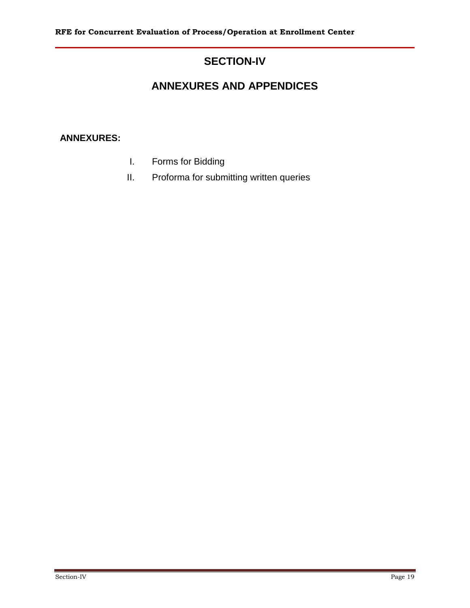# **SECTION-IV**

# **ANNEXURES AND APPENDICES**

### **ANNEXURES:**

- I. Forms for Bidding
- II. Proforma for submitting written queries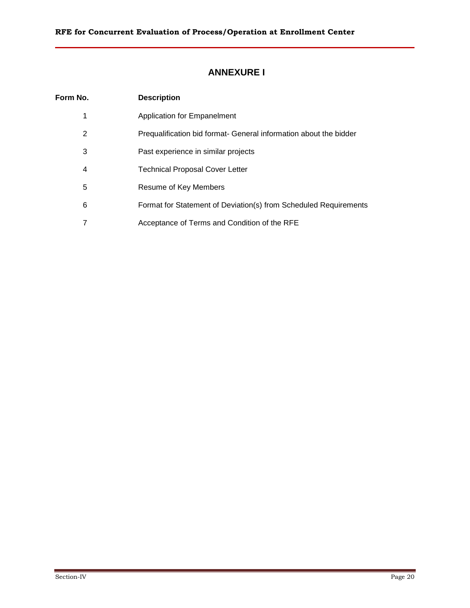# **ANNEXURE I**

| Form No. | <b>Description</b>                                                |
|----------|-------------------------------------------------------------------|
| 1        | <b>Application for Empanelment</b>                                |
| 2        | Prequalification bid format- General information about the bidder |
| 3        | Past experience in similar projects                               |
| 4        | <b>Technical Proposal Cover Letter</b>                            |
| 5        | Resume of Key Members                                             |
| 6        | Format for Statement of Deviation(s) from Scheduled Requirements  |
|          | Acceptance of Terms and Condition of the RFE                      |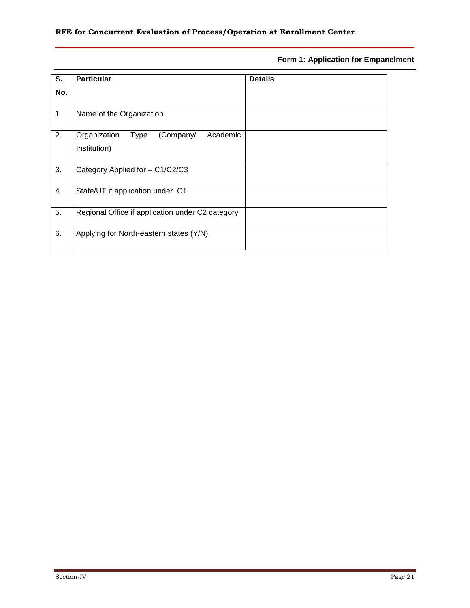### **Form 1: Application for Empanelment**

| S.  | <b>Particular</b>                                | <b>Details</b> |
|-----|--------------------------------------------------|----------------|
| No. |                                                  |                |
|     |                                                  |                |
| 1.  | Name of the Organization                         |                |
| 2.  | (Company/<br>Organization<br>Academic<br>Type    |                |
|     | Institution)                                     |                |
|     |                                                  |                |
| 3.  | Category Applied for - C1/C2/C3                  |                |
| 4.  | State/UT if application under C1                 |                |
| 5.  | Regional Office if application under C2 category |                |
| 6.  | Applying for North-eastern states (Y/N)          |                |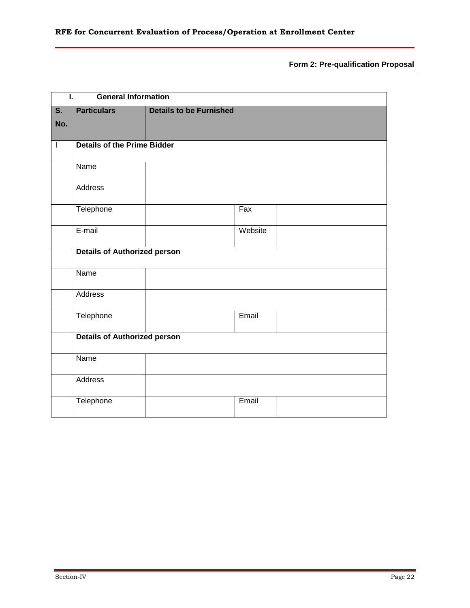**Form 2: Pre-qualification Proposal**

| Ī.                        | <b>General Information</b>          |                                |         |  |
|---------------------------|-------------------------------------|--------------------------------|---------|--|
| $\overline{\mathsf{s}}$ . | <b>Particulars</b>                  | <b>Details to be Furnished</b> |         |  |
| No.                       |                                     |                                |         |  |
| $\overline{\phantom{a}}$  | <b>Details of the Prime Bidder</b>  |                                |         |  |
|                           |                                     |                                |         |  |
|                           | Name                                |                                |         |  |
|                           | <b>Address</b>                      |                                |         |  |
|                           | Telephone                           |                                | Fax     |  |
|                           | E-mail                              |                                | Website |  |
|                           | <b>Details of Authorized person</b> |                                |         |  |
|                           | Name                                |                                |         |  |
|                           | Address                             |                                |         |  |
|                           | Telephone                           |                                | Email   |  |
|                           | <b>Details of Authorized person</b> |                                |         |  |
|                           | Name                                |                                |         |  |
|                           | Address                             |                                |         |  |
|                           | Telephone                           |                                | Email   |  |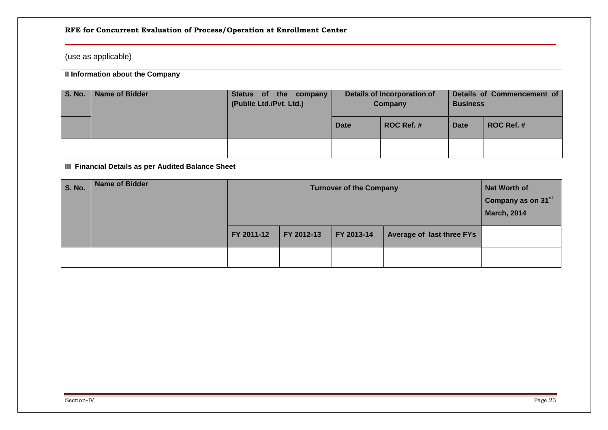# (use as applicable)

|               | Il Information about the Company                   |                                                                                                               |                |                                               |                                  |             |                                               |  |
|---------------|----------------------------------------------------|---------------------------------------------------------------------------------------------------------------|----------------|-----------------------------------------------|----------------------------------|-------------|-----------------------------------------------|--|
| <b>S. No.</b> | <b>Name of Bidder</b>                              | Status of<br>(Public Ltd./Pvt. Ltd.)                                                                          | the<br>company | <b>Details of Incorporation of</b><br>Company |                                  |             | Details of Commencement of<br><b>Business</b> |  |
|               |                                                    |                                                                                                               |                | <b>Date</b>                                   | ROC Ref. #                       | <b>Date</b> | ROC Ref. #                                    |  |
|               |                                                    |                                                                                                               |                |                                               |                                  |             |                                               |  |
|               | III Financial Details as per Audited Balance Sheet |                                                                                                               |                |                                               |                                  |             |                                               |  |
| <b>S. No.</b> | <b>Name of Bidder</b>                              | <b>Net Worth of</b><br><b>Turnover of the Company</b><br>Company as on 31 <sup>st</sup><br><b>March, 2014</b> |                |                                               |                                  |             |                                               |  |
|               |                                                    | FY 2011-12                                                                                                    | FY 2012-13     | FY 2013-14                                    | <b>Average of last three FYs</b> |             |                                               |  |
|               |                                                    |                                                                                                               |                |                                               |                                  |             |                                               |  |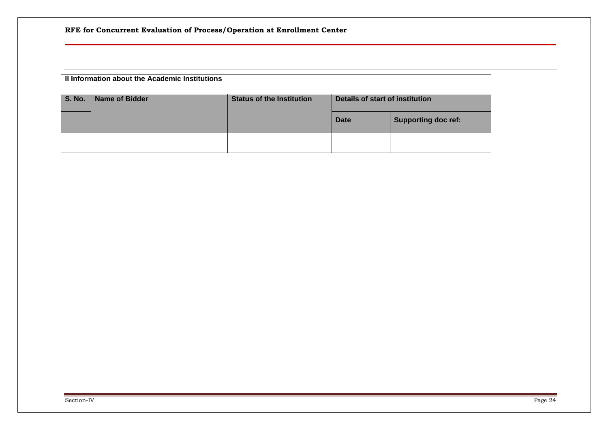| Il Information about the Academic Institutions |                |                                  |                                 |                            |  |  |
|------------------------------------------------|----------------|----------------------------------|---------------------------------|----------------------------|--|--|
| <b>S. No.</b>                                  | Name of Bidder | <b>Status of the Institution</b> | Details of start of institution |                            |  |  |
|                                                |                |                                  | <b>Date</b>                     | <b>Supporting doc ref:</b> |  |  |
|                                                |                |                                  |                                 |                            |  |  |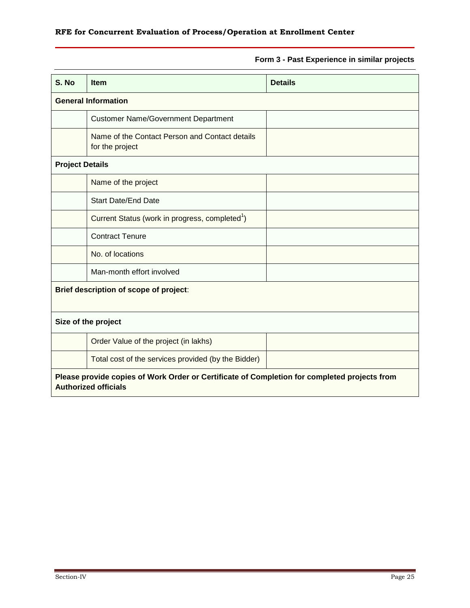### **Form 3 - Past Experience in similar projects**

| S. No                  | <b>Item</b>                                                                                                                 | <b>Details</b> |  |  |  |  |
|------------------------|-----------------------------------------------------------------------------------------------------------------------------|----------------|--|--|--|--|
|                        | <b>General Information</b>                                                                                                  |                |  |  |  |  |
|                        | <b>Customer Name/Government Department</b>                                                                                  |                |  |  |  |  |
|                        | Name of the Contact Person and Contact details<br>for the project                                                           |                |  |  |  |  |
| <b>Project Details</b> |                                                                                                                             |                |  |  |  |  |
|                        | Name of the project                                                                                                         |                |  |  |  |  |
|                        | <b>Start Date/End Date</b>                                                                                                  |                |  |  |  |  |
|                        | Current Status (work in progress, completed <sup>1</sup> )                                                                  |                |  |  |  |  |
|                        | <b>Contract Tenure</b>                                                                                                      |                |  |  |  |  |
|                        | No. of locations                                                                                                            |                |  |  |  |  |
|                        | Man-month effort involved                                                                                                   |                |  |  |  |  |
|                        | Brief description of scope of project:                                                                                      |                |  |  |  |  |
|                        | Size of the project                                                                                                         |                |  |  |  |  |
|                        | Order Value of the project (in lakhs)                                                                                       |                |  |  |  |  |
|                        | Total cost of the services provided (by the Bidder)                                                                         |                |  |  |  |  |
|                        | Please provide copies of Work Order or Certificate of Completion for completed projects from<br><b>Authorized officials</b> |                |  |  |  |  |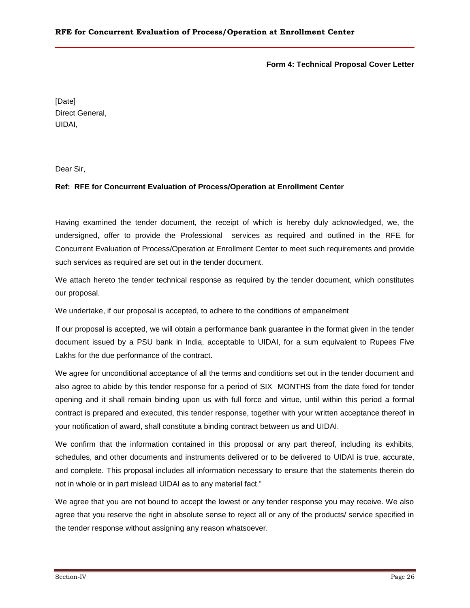#### **Form 4: Technical Proposal Cover Letter**

[Date] Direct General, UIDAI,

Dear Sir,

#### **Ref: RFE for Concurrent Evaluation of Process/Operation at Enrollment Center**

Having examined the tender document, the receipt of which is hereby duly acknowledged, we, the undersigned, offer to provide the Professional services as required and outlined in the RFE for Concurrent Evaluation of Process/Operation at Enrollment Center to meet such requirements and provide such services as required are set out in the tender document.

We attach hereto the tender technical response as required by the tender document, which constitutes our proposal.

We undertake, if our proposal is accepted, to adhere to the conditions of empanelment

If our proposal is accepted, we will obtain a performance bank guarantee in the format given in the tender document issued by a PSU bank in India, acceptable to UIDAI, for a sum equivalent to Rupees Five Lakhs for the due performance of the contract.

We agree for unconditional acceptance of all the terms and conditions set out in the tender document and also agree to abide by this tender response for a period of SIX MONTHS from the date fixed for tender opening and it shall remain binding upon us with full force and virtue, until within this period a formal contract is prepared and executed, this tender response, together with your written acceptance thereof in your notification of award, shall constitute a binding contract between us and UIDAI.

We confirm that the information contained in this proposal or any part thereof, including its exhibits, schedules, and other documents and instruments delivered or to be delivered to UIDAI is true, accurate, and complete. This proposal includes all information necessary to ensure that the statements therein do not in whole or in part mislead UIDAI as to any material fact."

We agree that you are not bound to accept the lowest or any tender response you may receive. We also agree that you reserve the right in absolute sense to reject all or any of the products/ service specified in the tender response without assigning any reason whatsoever.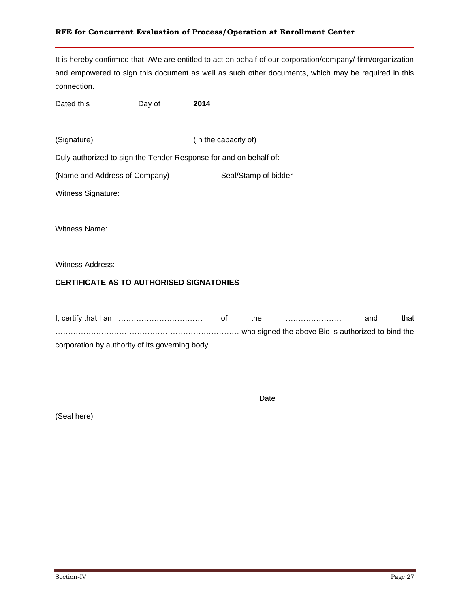It is hereby confirmed that I/We are entitled to act on behalf of our corporation/company/ firm/organization and empowered to sign this document as well as such other documents, which may be required in this connection.

Dated this **Day of** 2014

(Signature) (In the capacity of)

Duly authorized to sign the Tender Response for and on behalf of:

(Name and Address of Company) Seal/Stamp of bidder

Witness Signature:

Witness Name:

Witness Address:

#### **CERTIFICATE AS TO AUTHORISED SIGNATORIES**

|                                                 | the | and | that |
|-------------------------------------------------|-----|-----|------|
|                                                 |     |     |      |
| corporation by authority of its governing body. |     |     |      |

Date

(Seal here)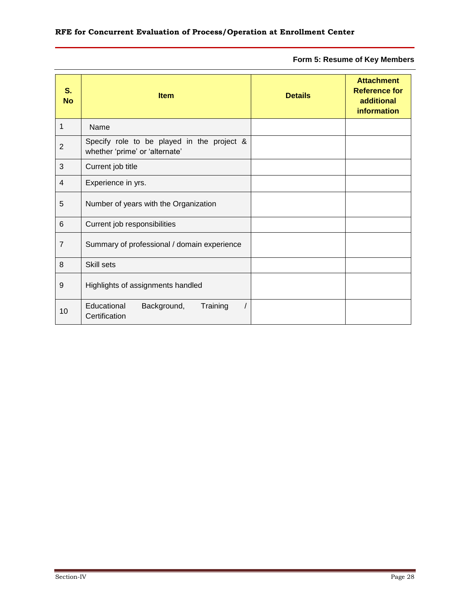**Form 5: Resume of Key Members**

| S.<br><b>No</b> | <b>Item</b>                                                                  | <b>Details</b> | <b>Attachment</b><br><b>Reference for</b><br>additional<br><b>information</b> |
|-----------------|------------------------------------------------------------------------------|----------------|-------------------------------------------------------------------------------|
| 1               | Name                                                                         |                |                                                                               |
| $\overline{2}$  | Specify role to be played in the project &<br>whether 'prime' or 'alternate' |                |                                                                               |
| 3               | Current job title                                                            |                |                                                                               |
| 4               | Experience in yrs.                                                           |                |                                                                               |
| 5               | Number of years with the Organization                                        |                |                                                                               |
| 6               | Current job responsibilities                                                 |                |                                                                               |
| $\overline{7}$  | Summary of professional / domain experience                                  |                |                                                                               |
| 8               | Skill sets                                                                   |                |                                                                               |
| 9               | Highlights of assignments handled                                            |                |                                                                               |
| 10              | Educational<br>Background,<br>Training<br>Certification                      |                |                                                                               |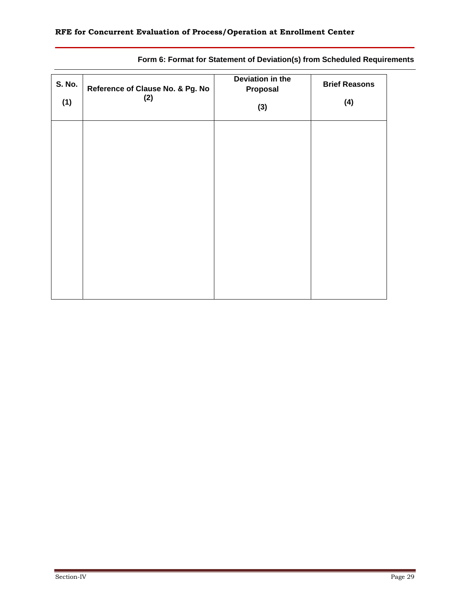| <b>S. No.</b><br>(1) | Reference of Clause No. & Pg. No<br>(2) | Deviation in the<br>Proposal<br>(3) | <b>Brief Reasons</b><br>(4) |
|----------------------|-----------------------------------------|-------------------------------------|-----------------------------|
|                      |                                         |                                     |                             |
|                      |                                         |                                     |                             |
|                      |                                         |                                     |                             |
|                      |                                         |                                     |                             |
|                      |                                         |                                     |                             |

### **Form 6: Format for Statement of Deviation(s) from Scheduled Requirements**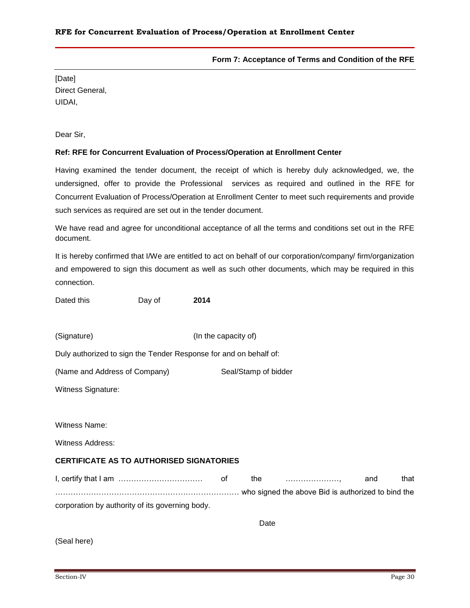#### **Form 7: Acceptance of Terms and Condition of the RFE**

[Date] Direct General, UIDAI,

Dear Sir,

#### **Ref: RFE for Concurrent Evaluation of Process/Operation at Enrollment Center**

Having examined the tender document, the receipt of which is hereby duly acknowledged, we, the undersigned, offer to provide the Professional services as required and outlined in the RFE for Concurrent Evaluation of Process/Operation at Enrollment Center to meet such requirements and provide such services as required are set out in the tender document.

We have read and agree for unconditional acceptance of all the terms and conditions set out in the RFE document.

It is hereby confirmed that I/We are entitled to act on behalf of our corporation/company/ firm/organization and empowered to sign this document as well as such other documents, which may be required in this connection.

Dated this **Day of** 2014

(Signature) (In the capacity of)

Duly authorized to sign the Tender Response for and on behalf of:

(Name and Address of Company) Seal/Stamp of bidder

Witness Signature:

Witness Name:

Witness Address:

#### **CERTIFICATE AS TO AUTHORISED SIGNATORIES**

I, certify that I am …………………………… of the …………………, and that ……………………………………………………………… who signed the above Bid is authorized to bind the corporation by authority of its governing body.

Date

(Seal here)